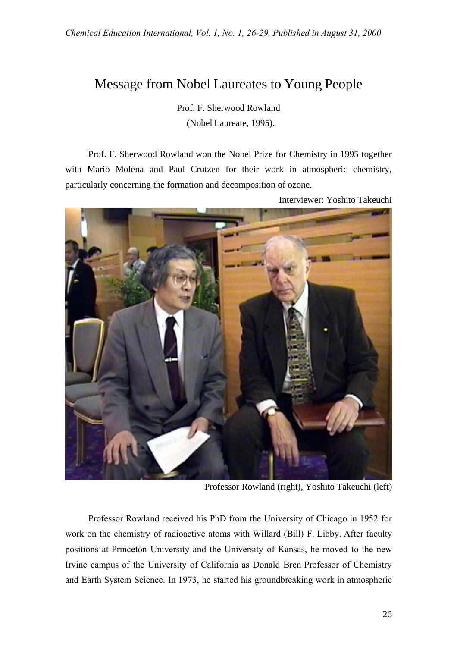## Message from Nobel Laureates to Young People

Prof. F. Sherwood Rowland (Nobel Laureate, 1995).

Prof. F. Sherwood Rowland won the Nobel Prize for Chemistry in 1995 together with Mario Molena and Paul Crutzen for their work in atmospheric chemistry, particularly concerning the formation and decomposition of ozone.



Interviewer: Yoshito Takeuchi

Professor Rowland (right), Yoshito Takeuchi (left)

Professor Rowland received his PhD from the University of Chicago in 1952 for work on the chemistry of radioactive atoms with Willard (Bill) F. Libby. After faculty positions at Princeton University and the University of Kansas, he moved to the new Irvine campus of the University of California as Donald Bren Professor of Chemistry and Earth System Science. In 1973, he started his groundbreaking work in atmospheric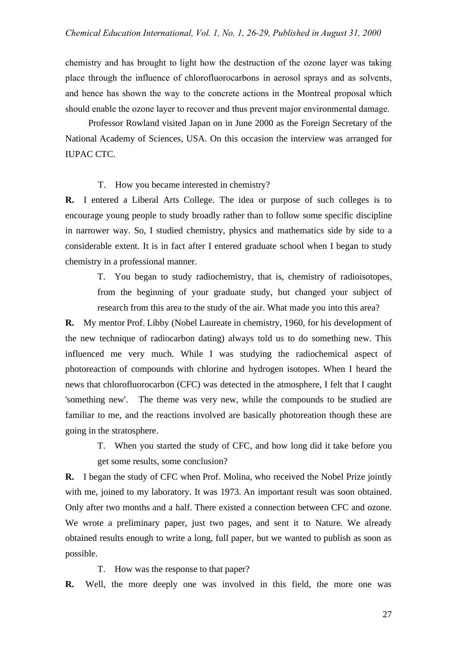chemistry and has brought to light how the destruction of the ozone layer was taking place through the influence of chlorofluorocarbons in aerosol sprays and as solvents, and hence has shown the way to the concrete actions in the Montreal proposal which should enable the ozone layer to recover and thus prevent major environmental damage.

Professor Rowland visited Japan on in June 2000 as the Foreign Secretary of the National Academy of Sciences, USA. On this occasion the interview was arranged for IUPAC CTC.

## T. How you became interested in chemistry?

**R.** I entered a Liberal Arts College. The idea or purpose of such colleges is to encourage young people to study broadly rather than to follow some specific discipline in narrower way. So, I studied chemistry, physics and mathematics side by side to a considerable extent. It is in fact after I entered graduate school when I began to study chemistry in a professional manner.

T. You began to study radiochemistry, that is, chemistry of radioisotopes, from the beginning of your graduate study, but changed your subject of research from this area to the study of the air. What made you into this area?

**R.** My mentor Prof. Libby (Nobel Laureate in chemistry, 1960, for his development of the new technique of radiocarbon dating) always told us to do something new. This influenced me very much. While I was studying the radiochemical aspect of photoreaction of compounds with chlorine and hydrogen isotopes. When I heard the news that chlorofluorocarbon (CFC) was detected in the atmosphere, I felt that I caught 'something new'. The theme was very new, while the compounds to be studied are familiar to me, and the reactions involved are basically photoreation though these are going in the stratosphere.

T. When you started the study of CFC, and how long did it take before you get some results, some conclusion?

**R.** I began the study of CFC when Prof. Molina, who received the Nobel Prize jointly with me, joined to my laboratory. It was 1973. An important result was soon obtained. Only after two months and a half. There existed a connection between CFC and ozone. We wrote a preliminary paper, just two pages, and sent it to Nature. We already obtained results enough to write a long, full paper, but we wanted to publish as soon as possible.

T. How was the response to that paper?

**R.** Well, the more deeply one was involved in this field, the more one was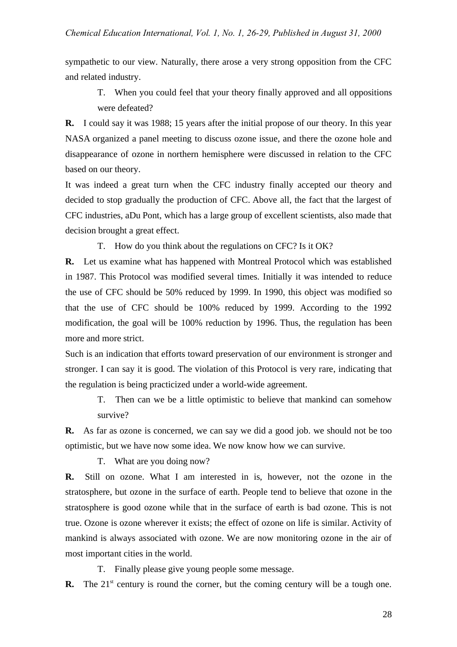sympathetic to our view. Naturally, there arose a very strong opposition from the CFC and related industry.

T. When you could feel that your theory finally approved and all oppositions were defeated?

**R.** I could say it was 1988; 15 years after the initial propose of our theory. In this year NASA organized a panel meeting to discuss ozone issue, and there the ozone hole and disappearance of ozone in northern hemisphere were discussed in relation to the CFC based on our theory.

It was indeed a great turn when the CFC industry finally accepted our theory and decided to stop gradually the production of CFC. Above all, the fact that the largest of CFC industries, aDu Pont, which has a large group of excellent scientists, also made that decision brought a great effect.

T. How do you think about the regulations on CFC? Is it OK?

**R.** Let us examine what has happened with Montreal Protocol which was established in 1987. This Protocol was modified several times. Initially it was intended to reduce the use of CFC should be 50% reduced by 1999. In 1990, this object was modified so that the use of CFC should be 100% reduced by 1999. According to the 1992 modification, the goal will be 100% reduction by 1996. Thus, the regulation has been more and more strict.

Such is an indication that efforts toward preservation of our environment is stronger and stronger. I can say it is good. The violation of this Protocol is very rare, indicating that the regulation is being practicized under a world-wide agreement.

T. Then can we be a little optimistic to believe that mankind can somehow survive?

**R.** As far as ozone is concerned, we can say we did a good job. we should not be too optimistic, but we have now some idea. We now know how we can survive.

T. What are you doing now?

**R.** Still on ozone. What I am interested in is, however, not the ozone in the stratosphere, but ozone in the surface of earth. People tend to believe that ozone in the stratosphere is good ozone while that in the surface of earth is bad ozone. This is not true. Ozone is ozone wherever it exists; the effect of ozone on life is similar. Activity of mankind is always associated with ozone. We are now monitoring ozone in the air of most important cities in the world.

T. Finally please give young people some message.

**R.** The  $21^{\text{st}}$  century is round the corner, but the coming century will be a tough one.